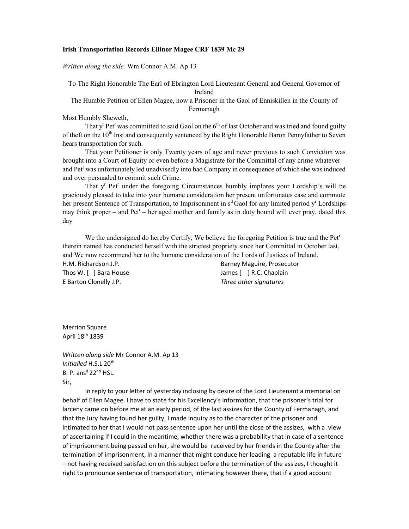## Irish Transportation Records Ellinor Magee CRF 1839 Mc 29

Written along the side. Wm Connor A.M. Ap 13

To The Right Honorable The Earl of Ebrington Lord Lieutenant General and General Governor of Ireland

The Humble Petition of Ellen Magee, now a Prisoner in the Gaol of Enniskillen in the County of Fermanagh

Most Humbly Sheweth,

That y<sup>r</sup> Pet<sup>r</sup> was committed to said Gaol on the  $6<sup>th</sup>$  of last October and was tried and found guilty of theft on the  $10<sup>th</sup>$  Inst and consequently sentenced by the Right Honorable Baron Pennyfather to Seven hears transportation for such.

That your Petitioner is only Twenty years of age and never previous to such Conviction was brought into a Court of Equity or even before a Magistrate for the Committal of any crime whatever – and Pet<sup>r</sup> was unfortunately led unadvisedly into bad Company in consequence of which she was induced and over persuaded to commit such Crime.

That y' Pet<sup>r</sup> under the foregoing Circumstances humbly implores your Lordship's will be graciously pleased to take into your humane consideration her present unfortunates case and commute her present Sentence of Transportation, to Imprisonment in s<sup>d</sup> Gaol for any limited period y<sup>r</sup> Lordships may think proper – and Pet<sup>r</sup> – her aged mother and family as in duty bound will ever pray. dated this day

We the undersigned do hereby Certify; We believe the foregoing Petition is true and the Pet<sup>r</sup> therein named has conducted herself with the strictest propriety since her Committal in October last, and We now recommend her to the humane consideration of the Lords of Justices of Ireland. H.M. Richardson J.P. **Barney Maguire, Prosecutor** Barney Maguire, Prosecutor

E Barton Clonelly J.P. Three other signatures

Thos W. [ ] Bara House James [ ] R.C. Chaplain

Merrion Square April 18th 1839

Written along side Mr Connor A.M. Ap 13 Initialled H.S.L 20<sup>th</sup> B. P. ans<sup>d</sup>  $22^{nd}$  HSL. Sir,

 In reply to your letter of yesterday inclosing by desire of the Lord Lieutenant a memorial on behalf of Ellen Magee. I have to state for his Excellency's information, that the prisoner's trial for larceny came on before me at an early period, of the last assizes for the County of Fermanagh, and that the Jury having found her guilty, I made inquiry as to the character of the prisoner and intimated to her that I would not pass sentence upon her until the close of the assizes, with a view of ascertaining if I could in the meantime, whether there was a probability that in case of a sentence of imprisonment being passed on her, she would be received by her friends in the County after the termination of imprisonment, in a manner that might conduce her leading a reputable life in future – not having received satisfaction on this subject before the termination of the assizes, I thought it right to pronounce sentence of transportation, intimating however there, that if a good account